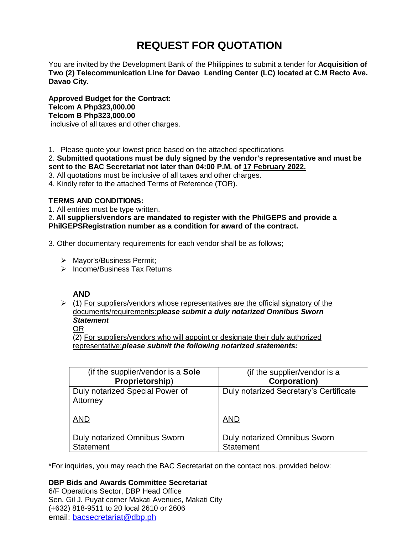# **REQUEST FOR QUOTATION**

You are invited by the Development Bank of the Philippines to submit a tender for **Acquisition of Two (2) Telecommunication Line for Davao Lending Center (LC) located at C.M Recto Ave. Davao City.** 

**Approved Budget for the Contract: Telcom A Php323,000.00 Telcom B Php323,000.00** inclusive of all taxes and other charges.

1. Please quote your lowest price based on the attached specifications

2. **Submitted quotations must be duly signed by the vendor's representative and must be sent to the BAC Secretariat not later than 04:00 P.M. of 17 February 2022.**

3. All quotations must be inclusive of all taxes and other charges.

4. Kindly refer to the attached Terms of Reference (TOR).

# **TERMS AND CONDITIONS:**

1. All entries must be type written.

2**. All suppliers/vendors are mandated to register with the PhilGEPS and provide a PhilGEPSRegistration number as a condition for award of the contract.**

3. Other documentary requirements for each vendor shall be as follows;

- > Mayor's/Business Permit;
- $\triangleright$  Income/Business Tax Returns

# **AND**

 $\geq$  (1) For suppliers/vendors whose representatives are the official signatory of the documents/requirements:*please submit a duly notarized Omnibus Sworn Statement*

# OR

(2) For suppliers/vendors who will appoint or designate their duly authorized representative:*please submit the following notarized statements:*

| (if the supplier/vendor is a <b>Sole</b> )  | (if the supplier/vendor is a           |
|---------------------------------------------|----------------------------------------|
| Proprietorship)                             | <b>Corporation)</b>                    |
| Duly notarized Special Power of<br>Attorney | Duly notarized Secretary's Certificate |
| <b>AND</b>                                  | <b>AND</b>                             |
| <b>Duly notarized Omnibus Sworn</b>         | <b>Duly notarized Omnibus Sworn</b>    |
| <b>Statement</b>                            | <b>Statement</b>                       |

\*For inquiries, you may reach the BAC Secretariat on the contact nos. provided below:

# **DBP Bids and Awards Committee Secretariat**

6/F Operations Sector, DBP Head Office Sen. Gil J. Puyat corner Makati Avenues, Makati City (+632) 818-9511 to 20 local 2610 or 2606 email: [bacsecretariat@dbp.ph](mailto:bacsecretariat@dbp.ph)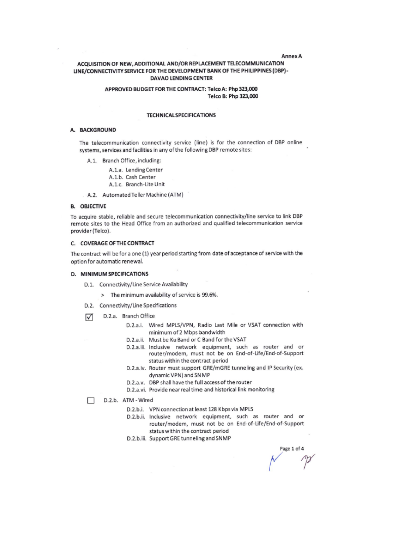#### **Annex A**

# ACQUISITION OF NEW, ADDITIONAL AND/OR REPLACEMENT TELECOMMUNICATION LINE/CONNECTIVITY SERVICE FOR THE DEVELOPMENT BANK OF THE PHILIPPINES (DBP)-**DAVAO LENDING CENTER**

## APPROVED BUDGET FOR THE CONTRACT: Telco A: Php 323,000 Telco B: Php 323,000

## **TECHNICAL SPECIFICATIONS**

#### A. BACKGROUND

The telecommunication connectivity service (line) is for the connection of DBP online systems, services and facilities in any of the following DBP remote sites:

- A.1. Branch Office, including:
	- A.1.a. Lending Center
	- A.1.b. Cash Center
	- A.1.c. Branch-Lite Unit
- A.2. Automated Teller Machine (ATM)

#### **B. OBJECTIVE**

To acquire stable, reliable and secure telecommunication connectivity/line service to link DBP remote sites to the Head Office from an authorized and qualified telecommunication service provider (Telco).

#### C. COVERAGE OF THE CONTRACT

The contract will be for a one (1) year period starting from date of acceptance of service with the option for automatic renewal.

#### D. MINIMUM SPECIFICATIONS

- D.1. Connectivity/Line Service Availability
	- > The minimum availability of service is 99.6%.
- D.2. Connectivity/Line Specifications
- D.2.a. Branch Office ☑
	- D.2.a.i. Wired MPLS/VPN, Radio Last Mile or VSAT connection with minimum of 2 Mbps bandwidth
	- D.2.a.ii. Must be Ku Band or C Band for the VSAT
	- D.2.a.iii. Inclusive network equipment, such as router and or router/modem, must not be on End-of-Life/End-of-Support status within the contract period
	- D.2.a.iv. Router must support GRE/mGRE tunneling and IP Security (ex. dynamic VPN) and SN MP
	- D.2.a.v. DBP shall have the full access of the router
	- D.2.a.vi. Provide near real time and historical link monitoring
- D.2.b. ATM Wired П
	- D.2.b.i. VPN connection at least 128 Kbps via MPLS
	- D.2.b.ii. Inclusive network equipment, such as router and or router/modem, must not be on End-of-Life/End-of-Support status within the contract period
	- D.2.b.iii. Support GRE tunneling and SNMP

Page 1 of 4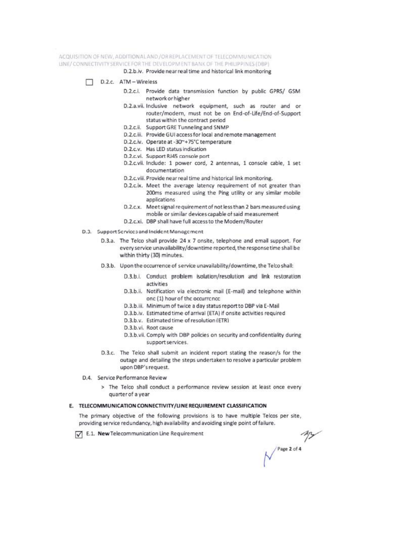ACQUISITION OF NEW, ADDITIONAL AND / OR REPLACEMENT OF TELECOMMUNICATION LINE/ CONNECTIVITY SERVICE FOR THE DEVELOPMENT BANK OF THE PHILIPPINES (DBP)

D.2.b.iv. Provide near real time and historical link monitoring

- D.2.c. ATM-Wireless
	- D.2.c.i. Provide data transmission function by public GPRS/ GSM network or higher
	- D.2.a.vii. Inclusive network equipment, such as router and or router/modern, must not be on End-of-Life/End-of-Support status within the contract period
	- D.2.c.ii. Support GRE Tunneling and SNMP
	- D.2.c.iii. Provide GUI access for local and remote management
	- D.2.c.iv. Operate at -30~+75°C temperature
	- D.2.c.v. Has LED status indication
	- D.2.c.vi. Support RJ45 console port
	- D.2.c.vii. Include: 1 power cord, 2 antennas, 1 console cable, 1 set documentation
	- D.2.c.viii. Provide near real time and historical link monitoring.
	- D.2.c.ix. Meet the average latency requirement of not greater than 200ms measured using the Ping utility or any similar mobile applications
	- D.2.c.x. Meet signal requirement of not less than 2 bars measured using mobile or similar devices capable of said measurement
	- D.2.c.xi. DBP shall have full access to the Modem/Router
- D.3. Support Scrvices and Incident Management
	- D.3.a. The Telco shall provide 24 x 7 onsite, telephone and email support. For every service unavailability/downtime reported, the response time shall be within thirty (30) minutes.
	- D.3.b. Upon the occurrence of service unavailability/downtime, the Telco shall:
		- D.3.b.i. Conduct problem isolation/resolution and link restoration activities
		- D.3.b.ii. Notification via electronic mail (E-mail) and telephone within onc (1) hour of the occurrence
		- D.3.b.iii. Minimum of twice a day status report to DBP via E-Mail
		- D.3.b.iv. Estimated time of arrival (ETA) if onsite activities required
		- D.3.b.v. Estimated time of resolution (ETR)
		- D.3.b.vi. Root cause
		- D.3.b.vii. Comply with DBP policies on security and confidentiality during support services.
	- D.3.c. The Telco shall submit an incident report stating the reason/s for the outage and detailing the steps undertaken to resolve a particular problem upon DBP's request.
- D.4. Service Performance Review
	- > The Telco shall conduct a performance review session at least once every quarter of a year

#### E. TELECOMMUNICATION CONNECTIVITY/LINE REQUIREMENT CLASSIFICATION

The primary objective of the following provisions is to have multiple Telcos per site. providing service redundancy, high availability and avoiding single point of failure.

E.1. New Telecommunication Line Requirement

 $\frac{dy}{dx}$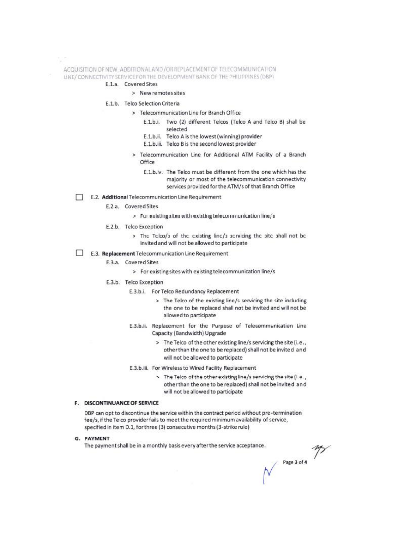ACQUISITION OF NEW, ADDITIONAL AND / OR REPLACEMENT OF TELECOMMUNICATION LINE/ CONNECTIVITY SERVICE FOR THE DEVELOPMENT BANK OF THE PHILIPPINES (DBP)

## E.1.a. Covered Sites

> New remotes sites

## E.1.b. Telco Selection Criteria

- > Telecommunication Line for Branch Office
	- E.1.b.i. Two (2) different Telcos (Telco A and Telco B) shall be selected
	- E.1.b.ii. Telco A is the lowest (winning) provider
	- E.1.b.iii. Telco B is the second lowest provider
- > Telecommunication Line for Additional ATM Facility of a Branch Office
	- E.1.b.iv. The Telco must be different from the one which has the majority or most of the telecommunication connectivity services provided for the ATM/s of that Branch Office

#### E.2. Additional Telecommunication Line Requirement

- E.2.a. Covered Sites
	- > For existing sites with existing telecommunication line/s
- E.2.b. Telco Exception
	- > The Telco/3 of the existing line/3 servicing the site shall not be invited and will not be allowed to participate
- П E.3. Replacement Telecommunication Line Requirement
	- E.3.a. Covered Sites
		- > For existing sites with existing telecommunication line/s
	- E.3.b. Telco Exception
		- E.3.b.i. For Telco Redundancy Replacement
			- > The Telco of the existing line/s servicing the site including the one to be replaced shall not be invited and will not be allowed to participate
		- E.3.b.ii. Replacement for the Purpose of Telecommunication Line Capacity (Bandwidth) Upgrade
			- > The Telco of the other existing line/s servicing the site (i.e., other than the one to be replaced) shall not be invited and will not be allowed to participate
		- E.3.b.iii. For Wireless to Wired Facility Replacement
			- > The Telco of the other existing line/s servicing the site (i.e., other than the one to be replaced) shall not be invited and will not be allowed to participate

#### F. DISCONTINUANCE OF SERVICE

DBP can opt to discontinue the service within the contract period without pre-termination fee/s, if the Telco provider fails to meet the required minimum availability of service, specified in item D.1, for three (3) consecutive months (3-strike rule)

#### G. PAYMENT

The payment shall be in a monthly basis every after the service acceptance.

 $\begin{array}{c}\n\mathsf{Page 3 of 4} \\
\end{array}$